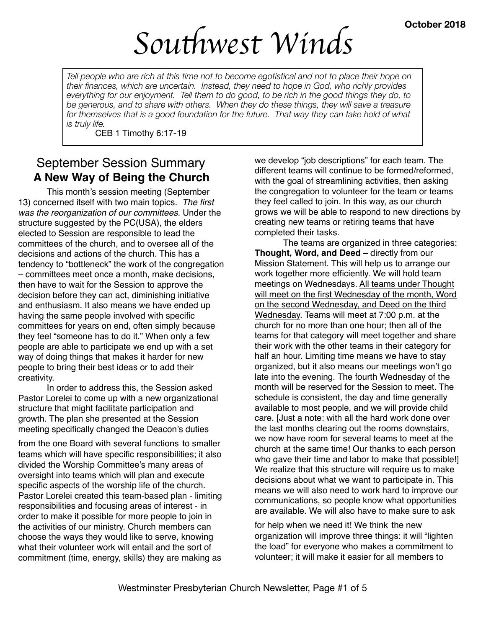# *Sou*t*west Winds*

*Tell people who are rich at this time not to become egotistical and not to place their hope on their finances, which are uncertain. Instead, they need to hope in God, who richly provides everything for our enjoyment. Tell them to do good, to be rich in the good things they do, to be generous, and to share with others. When they do these things, they will save a treasure*  for themselves that is a good foundation for the future. That way they can take hold of what *is truly life.* 

CEB 1 Timothy 6:17-19

## September Session Summary **A New Way of Being the Church**

This month's session meeting (September 13) concerned itself with two main topics. *The first was the reorganization of our committees*. Under the structure suggested by the PC(USA), the elders elected to Session are responsible to lead the committees of the church, and to oversee all of the decisions and actions of the church. This has a tendency to "bottleneck" the work of the congregation – committees meet once a month, make decisions, then have to wait for the Session to approve the decision before they can act, diminishing initiative and enthusiasm. It also means we have ended up having the same people involved with specific committees for years on end, often simply because they feel "someone has to do it." When only a few people are able to participate we end up with a set way of doing things that makes it harder for new people to bring their best ideas or to add their creativity.

In order to address this, the Session asked Pastor Lorelei to come up with a new organizational structure that might facilitate participation and growth. The plan she presented at the Session meeting specifically changed the Deacon's duties

from the one Board with several functions to smaller teams which will have specific responsibilities; it also divided the Worship Committee's many areas of oversight into teams which will plan and execute specific aspects of the worship life of the church. Pastor Lorelei created this team-based plan - limiting responsibilities and focusing areas of interest - in order to make it possible for more people to join in the activities of our ministry. Church members can choose the ways they would like to serve, knowing what their volunteer work will entail and the sort of commitment (time, energy, skills) they are making as

we develop "job descriptions" for each team. The different teams will continue to be formed/reformed, with the goal of streamlining activities, then asking the congregation to volunteer for the team or teams they feel called to join. In this way, as our church grows we will be able to respond to new directions by creating new teams or retiring teams that have completed their tasks.

The teams are organized in three categories: **Thought, Word, and Deed** – directly from our Mission Statement. This will help us to arrange our work together more efficiently. We will hold team meetings on Wednesdays. All teams under Thought will meet on the first Wednesday of the month, Word on the second Wednesday, and Deed on the third Wednesday. Teams will meet at 7:00 p.m. at the church for no more than one hour; then all of the teams for that category will meet together and share their work with the other teams in their category for half an hour. Limiting time means we have to stay organized, but it also means our meetings won't go late into the evening. The fourth Wednesday of the month will be reserved for the Session to meet. The schedule is consistent, the day and time generally available to most people, and we will provide child care. [Just a note: with all the hard work done over the last months clearing out the rooms downstairs, we now have room for several teams to meet at the church at the same time! Our thanks to each person who gave their time and labor to make that possible!] We realize that this structure will require us to make decisions about what we want to participate in. This means we will also need to work hard to improve our communications, so people know what opportunities are available. We will also have to make sure to ask

for help when we need it! We think the new organization will improve three things: it will "lighten the load" for everyone who makes a commitment to volunteer; it will make it easier for all members to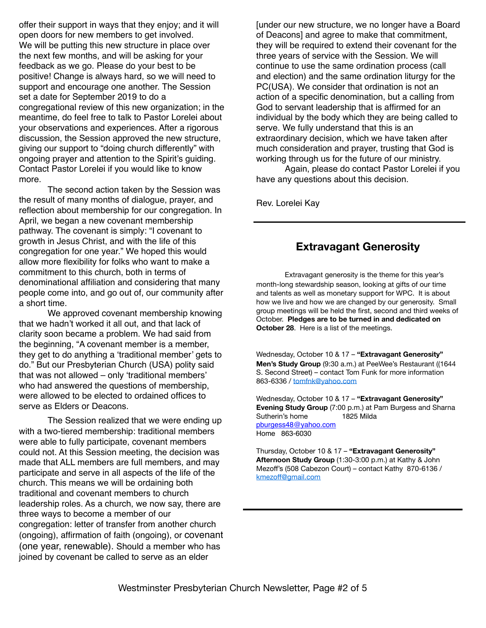offer their support in ways that they enjoy; and it will open doors for new members to get involved. We will be putting this new structure in place over the next few months, and will be asking for your feedback as we go. Please do your best to be positive! Change is always hard, so we will need to support and encourage one another. The Session set a date for September 2019 to do a congregational review of this new organization; in the meantime, do feel free to talk to Pastor Lorelei about your observations and experiences. After a rigorous discussion, the Session approved the new structure, giving our support to "doing church differently" with ongoing prayer and attention to the Spirit's guiding. Contact Pastor Lorelei if you would like to know more.

The second action taken by the Session was the result of many months of dialogue, prayer, and reflection about membership for our congregation. In April, we began a new covenant membership pathway. The covenant is simply: "I covenant to growth in Jesus Christ, and with the life of this congregation for one year." We hoped this would allow more flexibility for folks who want to make a commitment to this church, both in terms of denominational affiliation and considering that many people come into, and go out of, our community after a short time.

We approved covenant membership knowing that we hadn't worked it all out, and that lack of clarity soon became a problem. We had said from the beginning, "A covenant member is a member, they get to do anything a 'traditional member' gets to do." But our Presbyterian Church (USA) polity said that was not allowed – only 'traditional members' who had answered the questions of membership, were allowed to be elected to ordained offices to serve as Elders or Deacons.

The Session realized that we were ending up with a two-tiered membership: traditional members were able to fully participate, covenant members could not. At this Session meeting, the decision was made that ALL members are full members, and may participate and serve in all aspects of the life of the church. This means we will be ordaining both traditional and covenant members to church leadership roles. As a church, we now say, there are three ways to become a member of our congregation: letter of transfer from another church (ongoing), affirmation of faith (ongoing), or covenant (one year, renewable). Should a member who has joined by covenant be called to serve as an elder

[under our new structure, we no longer have a Board of Deacons] and agree to make that commitment, they will be required to extend their covenant for the three years of service with the Session. We will continue to use the same ordination process (call and election) and the same ordination liturgy for the PC(USA). We consider that ordination is not an action of a specific denomination, but a calling from God to servant leadership that is affirmed for an individual by the body which they are being called to serve. We fully understand that this is an extraordinary decision, which we have taken after much consideration and prayer, trusting that God is working through us for the future of our ministry.

Again, please do contact Pastor Lorelei if you have any questions about this decision.

Rev. Lorelei Kay

## **Extravagant Generosity**

Extravagant generosity is the theme for this year's month-long stewardship season, looking at gifts of our time and talents as well as monetary support for WPC. It is about how we live and how we are changed by our generosity. Small group meetings will be held the first, second and third weeks of October. **Pledges are to be turned in and dedicated on October 28**. Here is a list of the meetings.

Wednesday, October 10 & 17 – **"Extravagant Generosity" Men's Study Group** (9:30 a.m.) at PeeWee's Restaurant ((1644 S. Second Street) – contact Tom Funk for more information 863-6336 / [tomfnk@yahoo.com](mailto:tomfnk@yahoo.com)

Wednesday, October 10 & 17 – **"Extravagant Generosity" Evening Study Group** (7:00 p.m.) at Pam Burgess and Sharna Sutherin's home 1825 Milda [pburgess48@yahoo.com](mailto:pburgess48@yahoo.com) Home 863-6030

Thursday, October 10 & 17 – **"Extravagant Generosity" Afternoon Study Group** (1:30-3:00 p.m.) at Kathy & John Mezoff's (508 Cabezon Court) – contact Kathy 870-6136 / kmezoff[@gmail.com](mailto:kmezoff@gmail.com)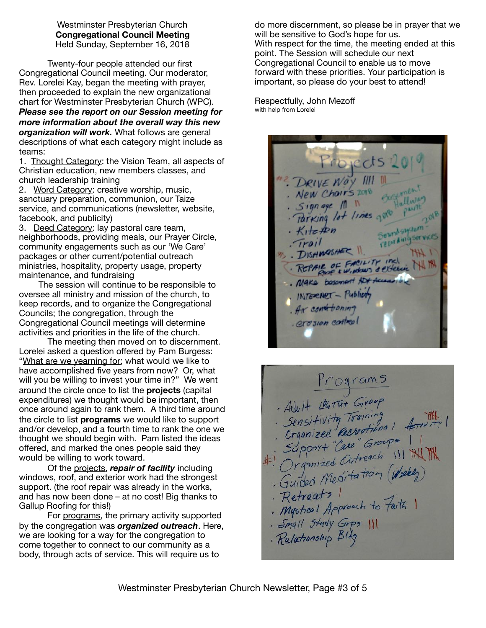Westminster Presbyterian Church **Congregational Council Meeting**  Held Sunday, September 16, 2018

Twenty-four people attended our first Congregational Council meeting. Our moderator, Rev. Lorelei Kay, began the meeting with prayer, then proceeded to explain the new organizational chart for Westminster Presbyterian Church (WPC). *Please see the report on our Session meeting for more information about the overall way this new organization will work.* What follows are general descriptions of what each category might include as teams:

1. Thought Category: the Vision Team, all aspects of Christian education, new members classes, and church leadership training

2. Word Category: creative worship, music, sanctuary preparation, communion, our Taize service, and communications (newsletter, website, facebook, and publicity)

3. Deed Category: lay pastoral care team, neighborhoods, providing meals, our Prayer Circle, community engagements such as our 'We Care' packages or other current/potential outreach ministries, hospitality, property usage, property maintenance, and fundraising

 The session will continue to be responsible to oversee all ministry and mission of the church, to keep records, and to organize the Congregational Councils; the congregation, through the Congregational Council meetings will determine activities and priorities in the life of the church.

The meeting then moved on to discernment. Lorelei asked a question offered by Pam Burgess: "What are we yearning for; what would we like to have accomplished five years from now? Or, what will you be willing to invest your time in?" We went around the circle once to list the **projects** (capital expenditures) we thought would be important, then once around again to rank them. A third time around the circle to list **programs** we would like to support and/or develop, and a fourth time to rank the one we thought we should begin with. Pam listed the ideas offered, and marked the ones people said they would be willing to work toward.

Of the projects, *repair of facility* including windows, roof, and exterior work had the strongest support. (the roof repair was already in the works, and has now been done – at no cost! Big thanks to Gallup Roofing for this!)

For programs, the primary activity supported by the congregation was *organized outreach*. Here, we are looking for a way for the congregation to come together to connect to our community as a body, through acts of service. This will require us to

do more discernment, so please be in prayer that we will be sensitive to God's hope for us. With respect for the time, the meeting ended at this point. The Session will schedule our next Congregational Council to enable us to move forward with these priorities. Your participation is important, so please do your best to attend!

Respectfully, John Mezoff with help from Lorelei

Projects 2 DRIVE WAY III New Chairs 2018  $Signage$  /1 1 Parking lot lines gove Seundsamtum  $Kite$  then DISHMOSHER II. REPAIR OF FACILITY INC. . Make besonant Not Access ... INTERNET - Publicity . Air const toning erosion control

Programs<br>Adult 194701 Group<br>Sensitivity Training<br>Sensitivity Training<br>Support "Care" Groups<br>#! Organized Outreach !!! NN M<br>#! Organized Outreach !!! NN M<br>. Guided Meditation (Woode)<br>Retreats !<br>. Mystical Approach to Faith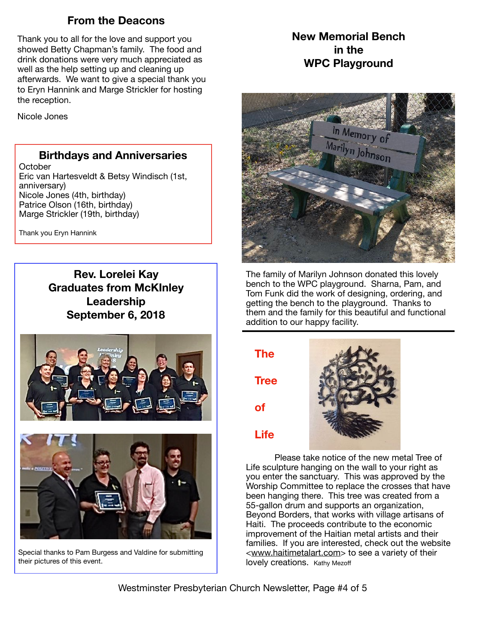## **From the Deacons**

Thank you to all for the love and support you showed Betty Chapman's family. The food and drink donations were very much appreciated as well as the help setting up and cleaning up afterwards. We want to give a special thank you to Eryn Hannink and Marge Strickler for hosting the reception.

Nicole Jones

### **Birthdays and Anniversaries**

**October** Eric van Hartesveldt & Betsy Windisch (1st, anniversary) Nicole Jones (4th, birthday) Patrice Olson (16th, birthday) Marge Strickler (19th, birthday)

Thank you Eryn Hannink

**Rev. Lorelei Kay Graduates from McKInley Leadership September 6, 2018** 





Special thanks to Pam Burgess and Valdine for submitting their pictures of this event.

**New Memorial Bench in the WPC Playground** 



The family of Marilyn Johnson donated this lovely bench to the WPC playground. Sharna, Pam, and Tom Funk did the work of designing, ordering, and getting the bench to the playground. Thanks to them and the family for this beautiful and functional addition to our happy facility.

**The** 

**Tree** 

**Life**

**of** 



Please take notice of the new metal Tree of Life sculpture hanging on the wall to your right as you enter the sanctuary. This was approved by the Worship Committee to replace the crosses that have been hanging there. This tree was created from a 55-gallon drum and supports an organization, Beyond Borders, that works with village artisans of Haiti. The proceeds contribute to the economic improvement of the Haitian metal artists and their families. If you are interested, check out the website <[www.haitimetalart.com](http://www.haitimetalart.com)> to see a variety of their lovely creations. Kathy Mezoff